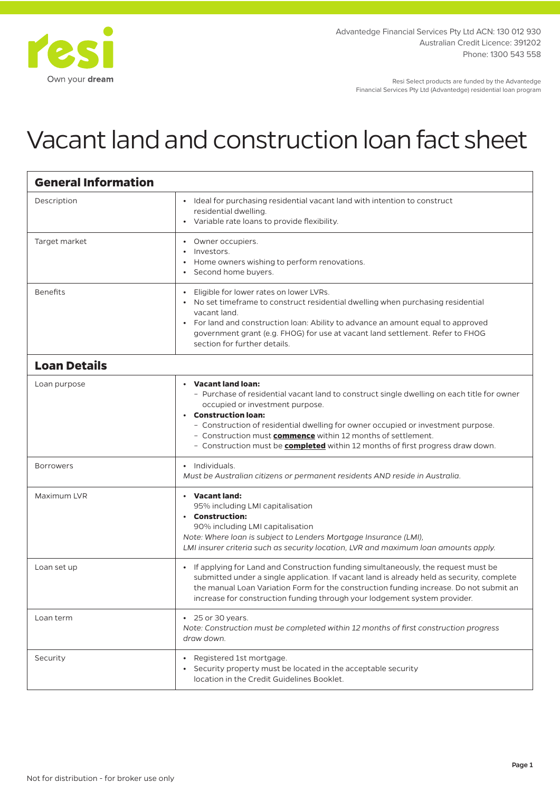

Resi Select products are funded by the Advantedge Financial Services Pty Ltd (Advantedge) residential loan program

## Vacant land and construction loan fact sheet

| <b>General Information</b> |                                                                                                                                                                                                                                                                                                                                                                                                                           |
|----------------------------|---------------------------------------------------------------------------------------------------------------------------------------------------------------------------------------------------------------------------------------------------------------------------------------------------------------------------------------------------------------------------------------------------------------------------|
| Description                | • Ideal for purchasing residential vacant land with intention to construct<br>residential dwelling.<br>• Variable rate loans to provide flexibility.                                                                                                                                                                                                                                                                      |
| Target market              | • Owner occupiers.<br>Investors.<br>Home owners wishing to perform renovations.<br>$\bullet$<br>• Second home buyers.                                                                                                                                                                                                                                                                                                     |
| <b>Benefits</b>            | • Eligible for lower rates on lower LVRs.<br>• No set timeframe to construct residential dwelling when purchasing residential<br>vacant land.<br>• For land and construction loan: Ability to advance an amount equal to approved<br>government grant (e.g. FHOG) for use at vacant land settlement. Refer to FHOG<br>section for further details.                                                                        |
| <b>Loan Details</b>        |                                                                                                                                                                                                                                                                                                                                                                                                                           |
| Loan purpose               | • Vacant land loan:<br>- Purchase of residential vacant land to construct single dwelling on each title for owner<br>occupied or investment purpose.<br>• Construction loan:<br>- Construction of residential dwelling for owner occupied or investment purpose.<br>- Construction must commence within 12 months of settlement.<br>- Construction must be <b>completed</b> within 12 months of first progress draw down. |
| <b>Borrowers</b>           | • Individuals.<br>Must be Australian citizens or permanent residents AND reside in Australia.                                                                                                                                                                                                                                                                                                                             |
| Maximum LVR                | • Vacant land:<br>95% including LMI capitalisation<br>• Construction:<br>90% including LMI capitalisation<br>Note: Where loan is subject to Lenders Mortgage Insurance (LMI),<br>LMI insurer criteria such as security location, LVR and maximum loan amounts apply.                                                                                                                                                      |
| Loan set up                | • If applying for Land and Construction funding simultaneously, the request must be<br>submitted under a single application. If vacant land is already held as security, complete<br>the manual Loan Variation Form for the construction funding increase. Do not submit an<br>increase for construction funding through your lodgement system provider.                                                                  |
| Loan term                  | $\cdot$ 25 or 30 years.<br>Note: Construction must be completed within 12 months of first construction progress<br>draw down.                                                                                                                                                                                                                                                                                             |
| Security                   | • Registered 1st mortgage.<br>Security property must be located in the acceptable security<br>location in the Credit Guidelines Booklet.                                                                                                                                                                                                                                                                                  |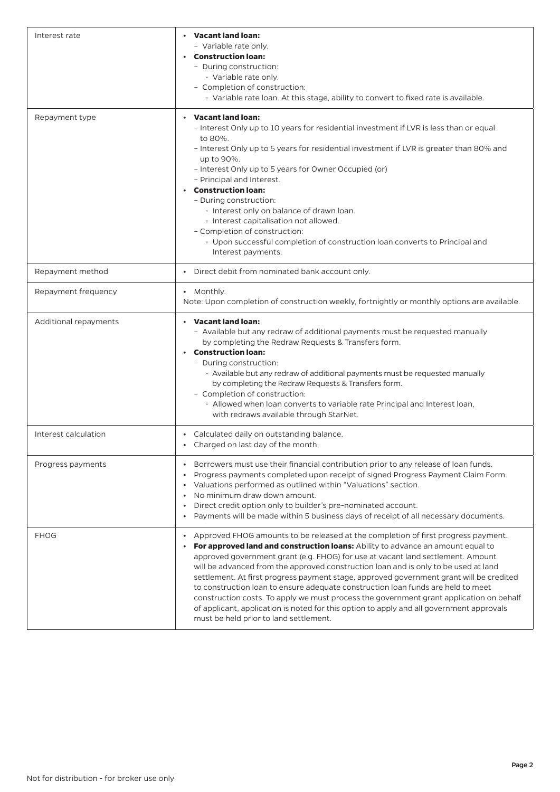| Interest rate         | • Vacant land loan:<br>- Variable rate only.<br>• Construction loan:<br>- During construction:<br>· Variable rate only.<br>- Completion of construction:<br>· Variable rate loan. At this stage, ability to convert to fixed rate is available.                                                                                                                                                                                                                                                                                                                                                                                                                                                                                                                             |
|-----------------------|-----------------------------------------------------------------------------------------------------------------------------------------------------------------------------------------------------------------------------------------------------------------------------------------------------------------------------------------------------------------------------------------------------------------------------------------------------------------------------------------------------------------------------------------------------------------------------------------------------------------------------------------------------------------------------------------------------------------------------------------------------------------------------|
| Repayment type        | <b>Vacant land loan:</b><br>- Interest Only up to 10 years for residential investment if LVR is less than or equal<br>to 80%.<br>- Interest Only up to 5 years for residential investment if LVR is greater than 80% and<br>up to 90%.<br>- Interest Only up to 5 years for Owner Occupied (or)<br>- Principal and Interest.<br>• Construction loan:<br>- During construction:<br>· Interest only on balance of drawn loan.<br>· Interest capitalisation not allowed.<br>- Completion of construction:<br>· Upon successful completion of construction loan converts to Principal and<br>Interest payments.                                                                                                                                                                 |
| Repayment method      | Direct debit from nominated bank account only.                                                                                                                                                                                                                                                                                                                                                                                                                                                                                                                                                                                                                                                                                                                              |
| Repayment frequency   | • Monthly.<br>Note: Upon completion of construction weekly, fortnightly or monthly options are available.                                                                                                                                                                                                                                                                                                                                                                                                                                                                                                                                                                                                                                                                   |
| Additional repayments | • Vacant land loan:<br>- Available but any redraw of additional payments must be requested manually<br>by completing the Redraw Requests & Transfers form.<br>$\cdot$ Construction loan:<br>- During construction:<br>· Available but any redraw of additional payments must be requested manually<br>by completing the Redraw Requests & Transfers form.<br>- Completion of construction:<br>· Allowed when loan converts to variable rate Principal and Interest loan,<br>with redraws available through StarNet.                                                                                                                                                                                                                                                         |
| Interest calculation  | • Calculated daily on outstanding balance.<br>• Charged on last day of the month.                                                                                                                                                                                                                                                                                                                                                                                                                                                                                                                                                                                                                                                                                           |
| Progress payments     | Borrowers must use their financial contribution prior to any release of loan funds.<br>$\bullet$<br>Progress payments completed upon receipt of signed Progress Payment Claim Form.<br>$\bullet$<br>Valuations performed as outlined within "Valuations" section.<br>$\bullet$<br>No minimum draw down amount.<br>$\bullet$<br>Direct credit option only to builder's pre-nominated account.<br>$\bullet$<br>Payments will be made within 5 business days of receipt of all necessary documents.<br>$\bullet$                                                                                                                                                                                                                                                               |
| <b>FHOG</b>           | Approved FHOG amounts to be released at the completion of first progress payment.<br>$\bullet$<br>For approved land and construction loans: Ability to advance an amount equal to<br>approved government grant (e.g. FHOG) for use at vacant land settlement. Amount<br>will be advanced from the approved construction loan and is only to be used at land<br>settlement. At first progress payment stage, approved government grant will be credited<br>to construction loan to ensure adequate construction loan funds are held to meet<br>construction costs. To apply we must process the government grant application on behalf<br>of applicant, application is noted for this option to apply and all government approvals<br>must be held prior to land settlement. |